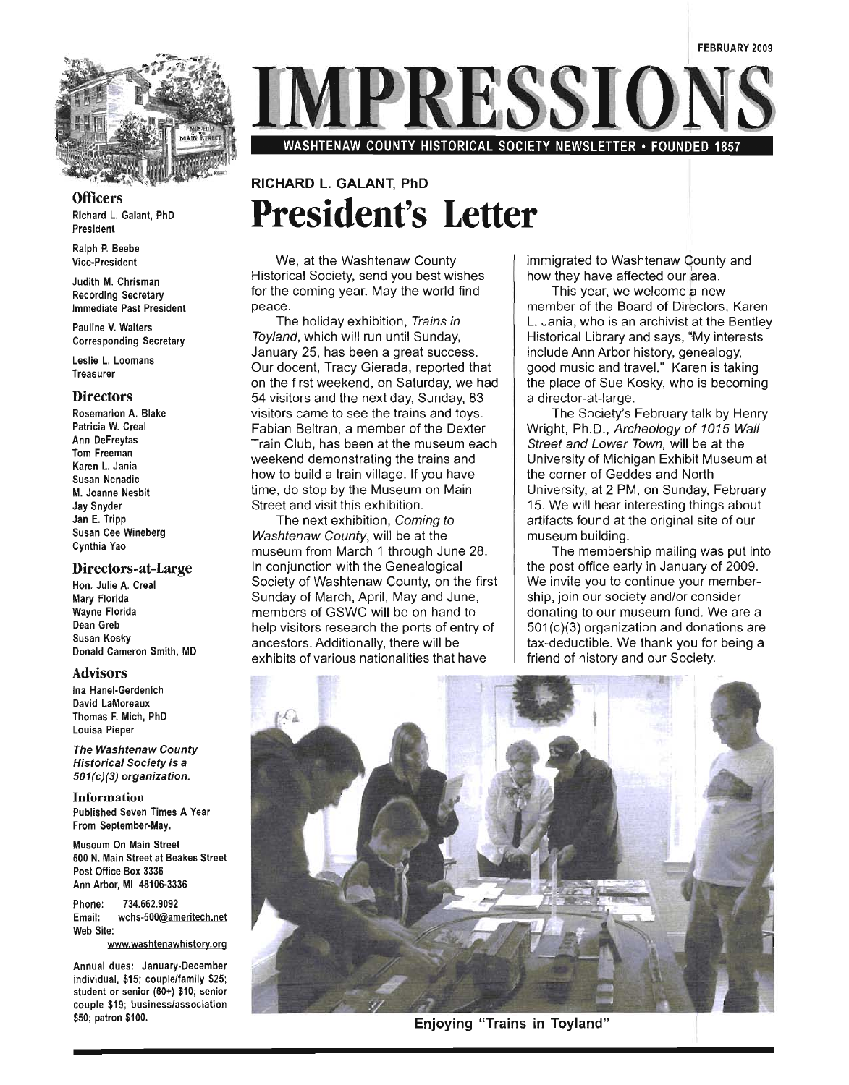

#### **Officers**

Richard L. Galant, PhD President

Ralph P. Beebe Vice-President

Judith M. Chrisman Recording Secretary Immediate Past President

Pauline V. Walters Corresponding Secretary

Leslie L. Loomans **Treasurer** 

#### **Directors**

Rosemarion A. Blake Patricia W. Creal Ann DeFreytas Tom Freeman Karen L. Jania Susan Nenadic M. Joanne Nesbit Jay Snyder Jan E. Tripp Susan Cee Wineberg Cynthia Yao

#### Directors-at-Large

Hon. Julie A. Creal Mary Florida Wayne Florida Dean Greb Susan Kosky Donald Cameron Smith, MD

#### Advisors

Ina Hanel-Gerdenich David LaMoreaux Thomas F. Mich, PhD Louisa Pieper

The Washtenaw County Historical Society is a 501(c)(3) organization.

Information Published Seven Times A Year From September-May.

Museum On Main Street 500 N. Main Street at Beakes Street Post Office Box 3336 Ann Arbor, MI 48106-3336

Phone: 734.662.9092 Email: wchs-500@ameritech.net Web Site:

www.washtenawhistory.org

Annual dues: January-December individual, \$15; couple/family \$25; student or senior (60+) \$10; senior couple \$19; businesslassociation \$50; patron \$100.

PRESSIC

WASHTENAW COUNTY HISTORICAL SOCIETY NEWSLETTER • FOUNDED 1857

# RICHARD L. GALANT, PhD **President's Letter**

We, at the Washtenaw County Historical Society, send you best wishes for the coming year. May the world find peace.

The holiday exhibition, Trains in Toyland, which will run until Sunday, January 25, has been a great success. Our docent, Tracy Gierada, reported that on the first weekend, on Saturday, we had 54 visitors and the next day, Sunday, 83 visitors came to see the trains and toys. Fabian Beltran, a member of the Dexter Train Club, has been at the museum each weekend demonstrating the trains and how to build a train village. If you have time, do stop by the Museum on Main Street and visit this exhibition.

The next exhibition, Coming to Washtenaw County, will be at the museum from March 1 through June 28. In conjunction with the Genealogical Society of Washtenaw County, on the first Sunday of March, April, May and June, members of GSWC will be on hand to help visitors research the ports of entry of ancestors. Additionally, there will be exhibits of various nationalities that have

immigrated to Washtenaw County and how they have affected our area.

This year, we welcome a new member of the Board of Directors, Karen L. Jania, who is an archivist at the Bentley Historical Library and says, "My interests include Ann Arbor history, genealogy, good music and travel." Karen is taking the place of Sue Kosky, who is becoming a director-at-Iarge.

The Society's February talk by Henry Wright, Ph.D., Archeology of 1015 Wall Street and Lower Town, will be at the University of Michigan Exhibit Museum at<br>the corner of Geddes and North University, at 2 PM, on Sunday, February 15. We will hear interesting things about artifacts found at the original site of our museum building.

The membership mailing was put into the post office early in January of 2009. We invite you to continue your membership, join our society and/or consider donating to our museum fund. We are a 501 (c)(3) organization and donations are tax-deductible. We thank you for being a friend of history and our Society.



Enjoying "Trains in Toyland"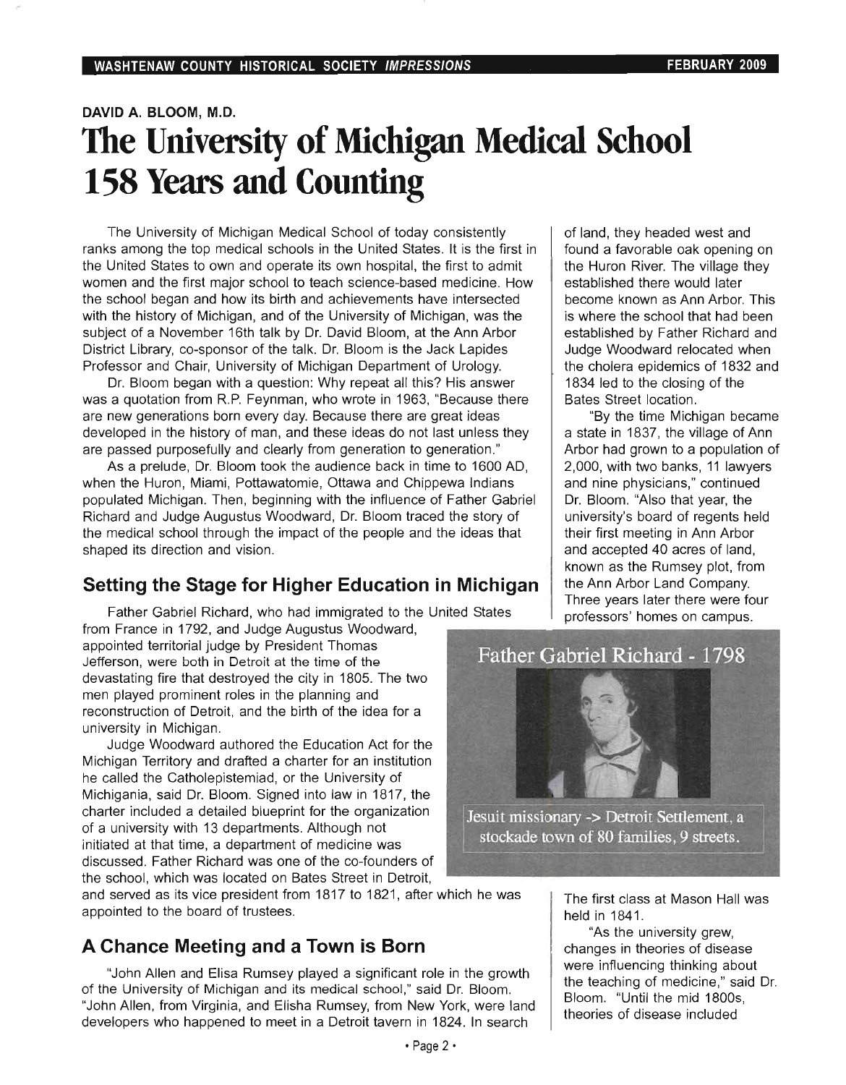# **DAVID A. BLOOM, M.D. The University of Michigan Medical School 158 Years and Counting**

The University of Michigan Medical School of today consistently ranks among the top medical school of top specific in the United States. **It is the first in the first in** the first in the first in the first in the first in the first in the first in the first in the first in the first i ranks among the top medical schools in the United States. It is the first in the United States to own and operate its own hospital, the first to admit women and the first major school to teach science-based medicine. How the school began and how its birth and achievements have intersected with the history of Michigan, and of the University of Michigan, was the subject of a November 16th talk by Dr. David Bloom, at the Ann Arbor District Library, co-sponsor of the talk. Dr. Bloom is the Jack Lapides Professor and Chair, University of Michigan Department of Urology.

Dr. Bloom began with a question: Why repeat all this? His answer was a quotation from R.P. Feynman, who wrote in 1963, "Because there are new generations born every day. Because there are great ideas developed in the history of man, and these ideas do not last unless they are passed purposefully and clearly from generation to generation."

As a prelude, Dr. Bloom took the audience back in time to 1600 AD, when the Huron, Miami, Pottawatomie, Ottawa and Chippewa Indians populated Michigan. Then, beginning with the influence of Father Gabriel Richard and Judge Augustus Woodward, Dr. Bloom traced the story of the medical school through the impact of the people and the ideas that shaped its direction and vision.

### **Setting the Stage for Higher Education in Michigan**

 $\overline{\mathbf{F}}$  at the Gabriel Richard, who had immigrated to the United States States States States States States States States States States States States States States States States States States States States States State from France in 1792, and Judge Augustus Woodward, from France in 1792, and Judge Augustus Woodward,

appointed territorial judge by President Thomas Jefferson, were both in Detroit at the time of the devastating fire that destroyed the city in 1805. The two men played prominent roles in the planning and reconstruction of Detroit, and the birth of the idea for a university in Michigan. Judge Woodward authored the Education Act for the

 $\frac{1}{2}$  Judge vyoddward authored the Education Act for the  $\frac{1}{2}$ Michigan Territory and drafted a charter for an institution he called the Catholepistemiad, or the University of Michigania, said Dr. Bloom. Signed into law in 1817, the charter included a detailed blueprint for the organization of a university with 13 departments. Although not initiated at that time, a department of medicine was discussed. Father Richard was one of the co-founders of the school, which was located on Bates Street in Detroit,

and served as its vice president from 1817 to 1821, after which he was appointed to the board of trustees.

# **A Chance Meeting and a Town is Born**

"John Allen and Elisa Rumsey played a significant role in the growth John Allen and Elisa Rumsey played a significant role in the growtr of the University of Michigan and its medical school," said Dr. Bloom. "John Allen, from Virginia, and Elisha Rumsey, from New York, were land developers who happened to meet in a Detroit tavern in 1824. In search  $\cdot$  Page 2  $\cdot$ 

of land, they headed west and fang, mey neaded west and found a favorable oak opening on the Huron River. The village they<br>established there would later raphshed there would later  $\frac{1}{2}$  where  $\frac{1}{2}$  is  $\frac{1}{2}$  is  $\frac{1}{2}$  in  $\frac{1}{2}$  in  $\frac{1}{2}$  in  $\frac{1}{2}$  in  $\frac{1}{2}$  in  $\frac{1}{2}$  in  $\frac{1}{2}$  in  $\frac{1}{2}$  in  $\frac{1}{2}$  in  $\frac{1}{2}$  in  $\frac{1}{2}$  in  $\frac{1}{2}$  in  $\frac{1}{2}$  in  $\frac{1}{2}$  is where the school that had been established by Father Richard and Judge Woodward relocated when the cholera epidemics of 1832 and 1834 led to the closing of the Bates Street location.

"By the time Michigan became a state in 1837, the village of Ann Arbor had grown to a population of 2,000, with two banks, 11 lawyers and nine physicians," continued Dr. Bloom. "Also that year, the university's board of regents held their first meeting in Ann Arbor and accepted 40 acres of land, known as the Rumsey plot, from the Ann Arbor Land Company. Three years later there were four<br>professors' homes on campus.



 $T_{\rm eff}$  at  $T_{\rm eff}$  at Mason Hall was  $T_{\rm eff}$ helmst classie  $\frac{1}{2}$  to  $\frac{1}{2}$  the university grews grews grews grews grews grews grews grews grews grews grews grews grews grews grews grews grews grews grews grews grews grews grews grews grews grews grews grews grews grews gre

As the university grew, changes in theories of disease were influencing thinking about the teaching of medicine," said Dr. Bloom. "Until the mid 1800s,<br>theories of disease included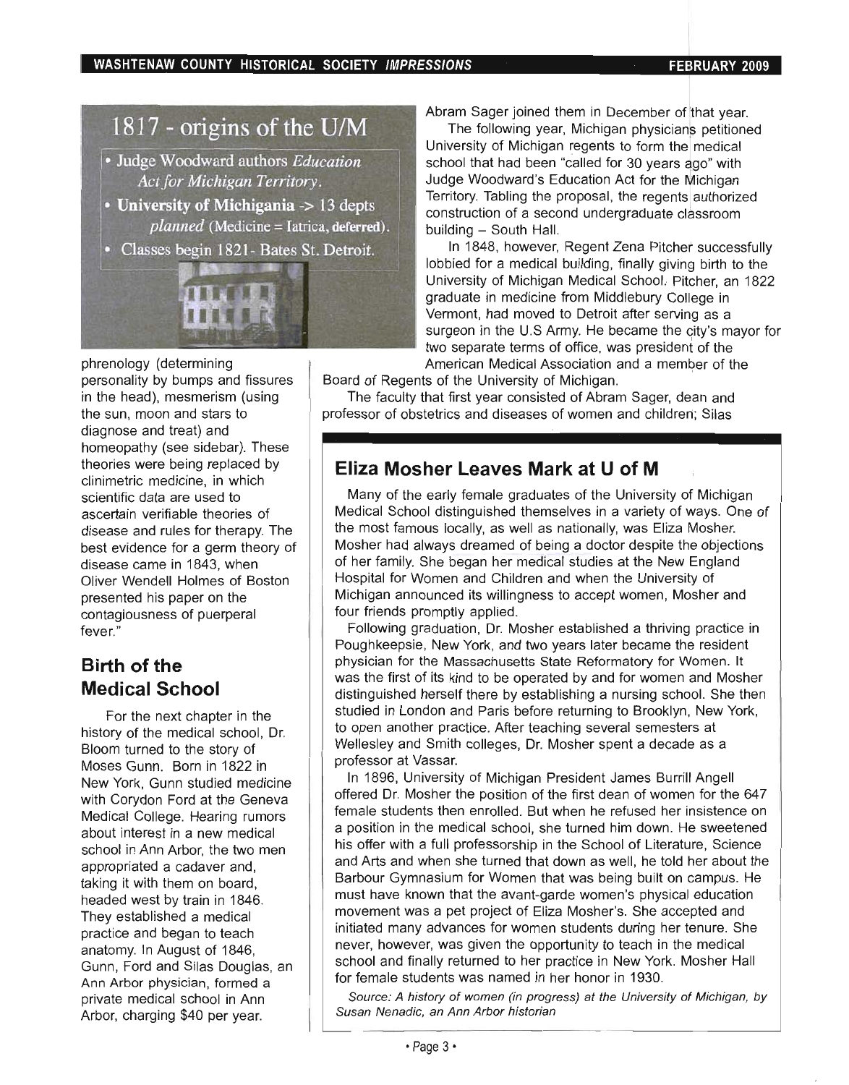# 1817 - origins of the U/M

- Judge Woodward authors Education Act for Michigan Territory.
- University of Michigania -> 13 depts planned (Medicine = Iatrica, deferred).
- Classes begin 1821- Bates St. Detroit.

**INSTRE** 

phrenology (determining personality by bumps and fissures in the head), mesmerism (using the sun, moon and stars to diagnose and treat) and homeopathy (see sidebar). These theories were being replaced by clinimetric medicine, in which scientific data are used to ascertain verifiable theories of disease and rules for therapy. The best evidence for a germ theory of disease came in 1843, when Oliver Wendell Holmes of Boston presented his paper on the contagiousness of puerperal fever."

### **Birth of the Medical School**

For the next chapter in the history of the medical school, Dr. Bloom turned to the story of Moses Gunn. Born in 1822 in New York, Gunn studied medicine with Corydon Ford at the Geneva Medical College. Hearing rumors about interest in a new medical school in Ann Arbor, the two men appropriated a cadaver and, taking it with them on board, headed west by train in 1846. They established a medical practice and began to teach anatomy. In August of 1846, Gunn, Ford and Silas Douglas, an Ann Arbor physician, formed a private medical school in Ann Arbor, charging \$40 per year.

Abram Sager joined them in December of that year.

The following year, Michigan physicians petitioned University of Michigan regents to form thel medical school that had been "called for 30 years ago" with Judge Woodward's Education Act for the Michigan Territory. Tabling the proposal, the regents authorized construction of a second undergraduate classroom onstruction of a second undergraduate class<br>iuilding – South Hall

In 1848, however, Regent Zena Pitcher successfully lobbied for a medical building, finally giving birth to the University of Michigan Medical School. Pitcher, an 1822 graduate in medicine from Middlebury College in Vermont, had moved to Detroit after serving as a surgeon in the U.S Army. He became the City's mayor for two separate terms of office, was president of the American Medical Association and a member of the

Board of Regents of the University of Michigan. I

The faculty that first year consisted of Abram Sager, dean and professor of obstetrics and diseases of women and children; Silas

# **Eliza Mosher Leaves Mark at U of M**

Many of the early female graduates of the University of Michigan Medical School distinguished themselves in a variety of ways. One of the most famous locally, as well as nationally, was Eliza Mosher. Mosher had always dreamed of being a doctor despite the objections of her family. She began her medical studies at the New England Hospital for Women and Children and when the University of Michigan announced its willingness to accept women, Mosher and four friends promptly applied.

Following graduation, Dr. Mosher established a thriving practice in Poughkeepsie, New York, and two years later became the resident physician for the Massachusetts State Reformatory for Women . It was the first of its kind to be operated by and for women and Mosher distinguished herself there by establishing a nursing school. She then studied in London and Paris before returning to Brooklyn, New York, to open another practice. After teaching several semesters at Wellesley and Smith colleges, Dr. Mosher spent a decade as a professor at Vassar.

In 1896, University of Michigan President James Burrill Angell offered Dr. Mosher the position of the first dean of women for the 647 female students then enrolled. But when he refused her insistence on a position in the medical school, she turned him down. He sweetened his offer with a full professorship in the School of Literature, Science and Arts and when she turned that down as well, he told her about the Barbour Gymnasium for Women that was being built on campus. He must have known that the avant-garde women's physical education movement was a pet project of Eliza Mosher's. She accepted and initiated many advances for women students during her tenure. She never, however, was given the opportunity to teach in the medical school and finally returned to her practice in New York. Mosher Hall for female students was named in her honor in 1930.

Source: A history of women (in progress) at the University of Michigan, by Susan Nenadic, an Ann Arbor historian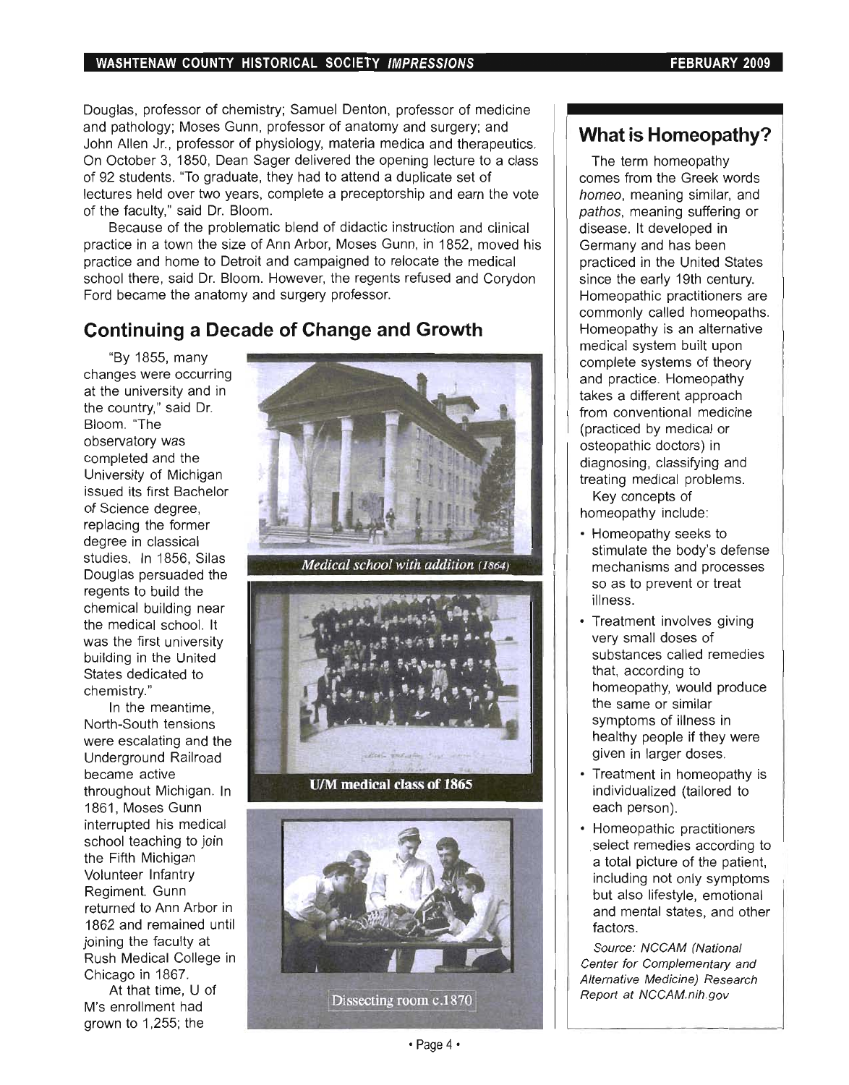Douglas, professor of chemistry; Samuel Denton, professor of medicine and pathology; Moses Gunn, professor of anatomy and surgery; and John Allen Jr., professor of physiology, materia medica and therapeutics. On October 3, 1850, Dean Sager delivered the opening lecture to a class of 92 students. "To graduate, they had to attend a duplicate set of lectures held over two years, complete a preceptorship and earn the vote of the faculty," said Dr. Bloom.

Because of the problematic blend of didactic instruction and clinical practice in a town the size of Ann Arbor, Moses Gunn, in 1852, moved his practice and home to Detroit and campaigned to relocate the medical active and notice to better and campaigned to refused and Corydon. Ford became the anatomy and surgery professor.

# **Continuing a Decade of Change and Growth**

"By 1855, many changes were occurring at the university and in the country," said Dr. Bloom. "The observatory was completed and the University of Michigan issued its first Bachelor of Science degree, replacing the former degree in classical studies. In 1856, Silas Douglas persuaded the regents to build the chemical building near the medical school. It was the first university building in the United States dedicated to chemistry."

In the meantime, North-South tensions were escalating and the Underground Railroad became active throughout Michigan. In 1861, Moses Gunn interrupted his medical school teaching to join the Fifth Michigan Volunteer Infantry Regiment. Gunn returned to Ann Arbor in 1862 and remained until joining the faculty at Rush Medical College in Chicago in 1867.

At that time, U of M's enrollment had grown to 1,255; the



Medical school with addition (1864)



U/M medical class of 1865



# **What is Homeopathy?**

The term homeopathy comes from the Greek words homeo, meaning similar, and pathos, meaning suffering or disease. It developed in Germany and has been practiced in the United States since the early 19th century. Homeopathic practitioners are commonly called homeopaths. Homeopathy is an alternative medical system built upon complete systems of theory and practice. Homeopathy takes a different approach from conventional medicine (practiced by medical or osteopathic doctors) in diagnosing, classifying and treating medical problems.

Key concepts of homeopathy include:

- Homeopathy seeks to stimulate the body's defense mechanisms and processes so as to prevent or treat illness.
- Treatment involves giving very small doses of substances called remedies that, according to homeopathy, would produce the same or similar symptoms of illness in healthy people if they were given in larger doses.
- Treatment in homeopathy is individualized (tailored to each person).
- Homeopathic practitioners select remedies according to a total picture of the patient, including not only symptoms but also lifestyle, emotional and mental states, and other factors.

Source: NCCAM (National Center for Complementary and and *Compeniencia* and Report at Negro at Angles at Angles and Angles and Angles and Angles and Angles and Angles and Angles and Angles and Angles and Angles and Angles and Angles and Angles and Angles and Angles and Angles and Angles and Angles

• Page 4·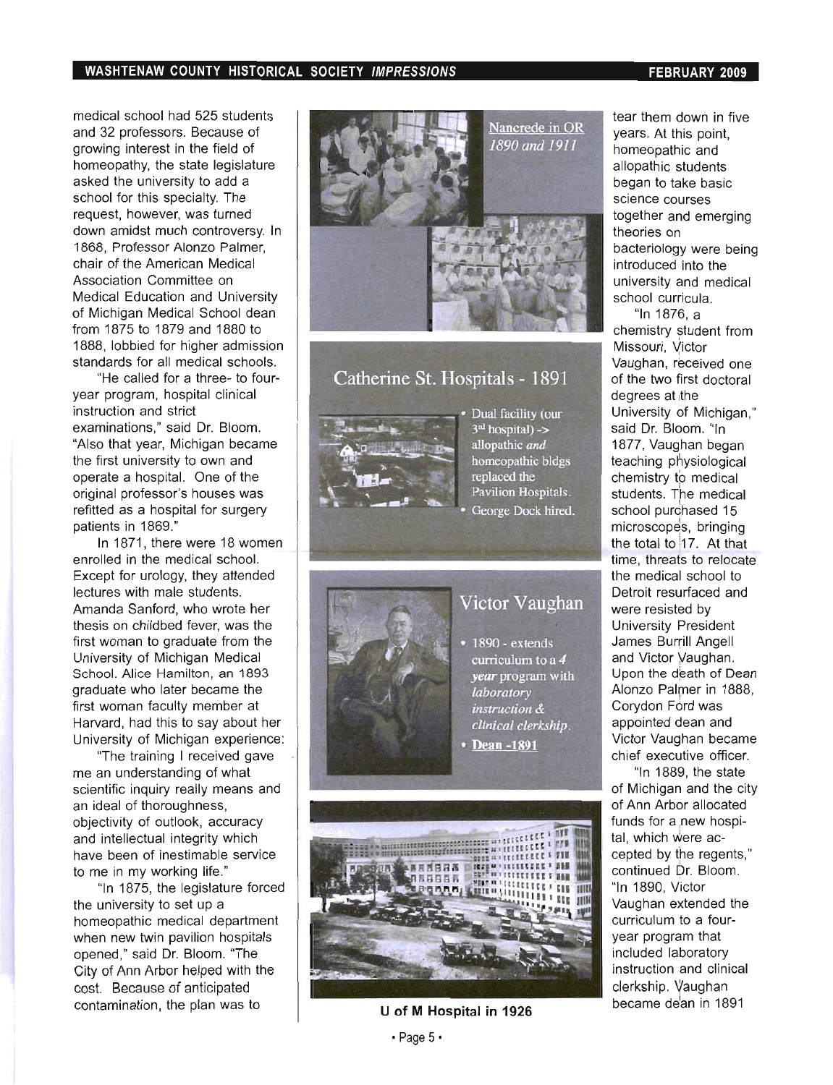medical school had 525 students and 32 professors. Because of growing interest in the field of homeopathy, the state legislature asked the university to add a school for this specialty. The request, however, was turned down amidst much controversy. In 1868, Professor Alonzo Palmer, chair of the American Medical Association Committee on Medical Education and University of Michigan Medical School dean from 1875 to 1879 and 1880 to 1888, lobbied for higher admission standards for all medical schools.

"He called for a three- to fouryear program, hospital clinical instruction and strict examinations," said Dr. Bloom. "Also that year, Michigan became the first university to own and operate a hospital. One of the original professor's houses was refitted as a hospital for surgery patients in 1869."

In 1871, there were 18 women enrolled in the medical school. Except for urology, they attended lectures with male students. Amanda Sanford, who wrote her thesis on childbed fever, was the first woman to graduate from the University of Michigan Medical School. Alice Hamilton, an 1893 graduate who later became the first woman faculty member at Harvard, had this to say about her University of Michigan experience:

"The training I received gave me an understanding of what scientific inquiry really means and an ideal of thoroughness, objectivity of outlook, accuracy and intellectual integrity which have been of inestimable service to me in my working life."

"In 1875, the legislature forced the university to set up a homeopathic medical department when new twin pavilion hospitals opened," said Dr. Bloom. "The City of Ann Arbor helped with the cost. Because of anticipated contamination, the plan was to **U of M Hospital in 1926** 



Catherine St. Hospitals - 1891



Dual facility (our  $3<sup>nd</sup>$  hospital) -> allopathic and homeopathic bldgs replaced the Pavilion Hospitals. George Dock hired.



# Victor Vaughan

 $1890 -$  extends curriculum to a 4 year program with laboratory instruction & clinical clerkship.

• Dean -1891



tear them down in five years. At this point, homeopathic and allopathic students began to take basic science courses together and emerging theories on bacteriology were being introduced into the university and medical school curricula.

"In 1876, a<br>
chemistry student from Missouri, Victor Vaughan, received one of the two first doctoral degrees at the University of Michigan," said Dr. Bloom. "In 1877, Vaughan began teaching physiological chemistry to medical students. The medical school purchased 15 microscopes, bringing the total to 17. At that time, threats to relocate the medical school to Detroit resurfaced and were resisted by University President James Burrill Angell and Victor Vaughan. Upon the death of Dean Alonzo Palmer in 1888, Corydon Ford was appointed dean and Victor Vaudhan became chief executive officer.

"In 1889, the state of Michigan and the city of Ann Arbor allocated funds for a new hospital, which were accepted by the regents," continued Dr. Bloom. "In 1890, V1ictor Vaughan extended the curriculum to a fouryear program that included laboratory instruction and clinical clerkship. Vaughan became deian in 1891

#### $\cdot$  Page 5 $\cdot$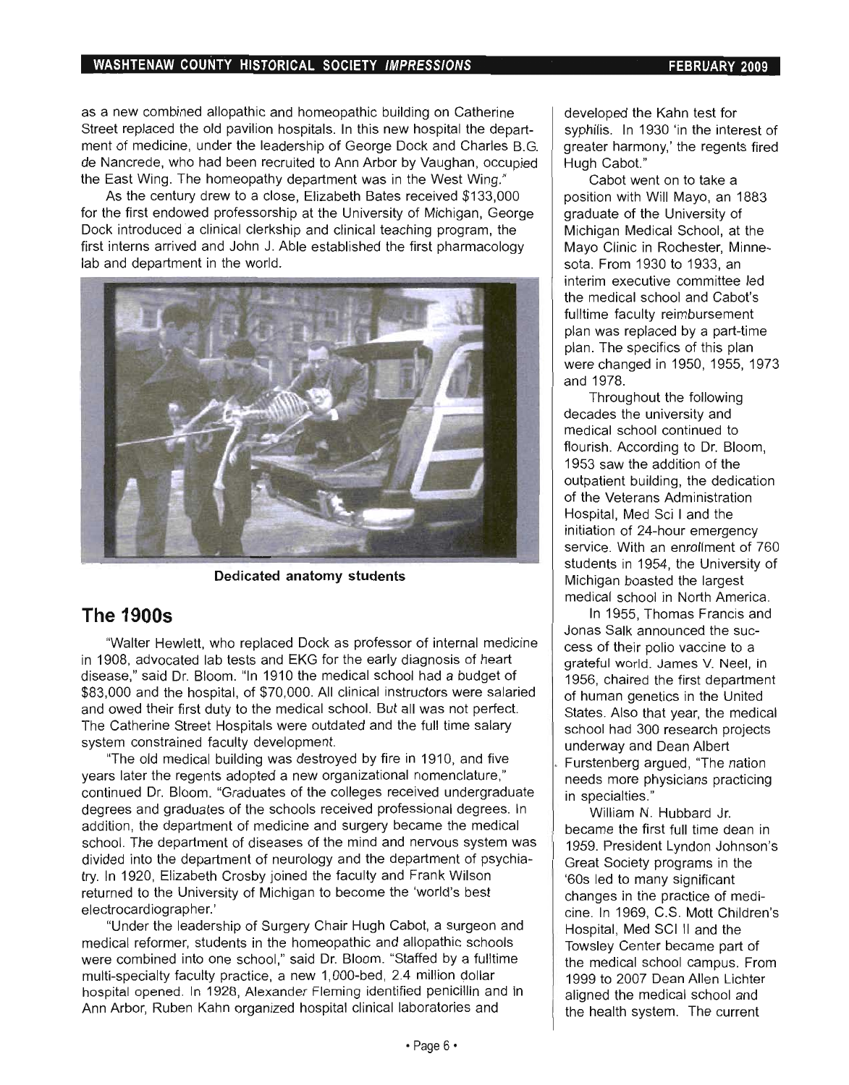as a new combined allopathic and homeopathic building on Catherine Street replaced the old pavilion hospitals. In this new hospital the department of medicine, under the leadership of George Dock and Charles B.G. de Nancrede, who had been recruited to Ann Arbor by Vaughan, occupied the East Wing. The homeopathy department was in the West Wing."

As the century drew to a close, Elizabeth Bates received \$133,000 for the first endowed professorship at the University of Michigan, George Dock introduced a clinical clerkship and clinical teaching program, the first interns arrived and John J. Able established the first pharmacology lab and department in the world.



Dedicated anatomy students

# **The 19005**

"Walter Hewlett, who replaced Dock as professor of internal medicine in 1908, advocated lab tests and EKG for the early diagnosis of heart disease," said Dr. Bloom. "In 1910 the medical school had a budget of \$83,000 and the hospital, of \$70,000. All clinical instructors were salaried and owed their first duty to the medical school. But all was not perfect. The Catherine Street Hospitals were outdated and the full time salary system constrained faculty development.

"The old medical building was destroyed by fire in 1910, and five years later the regents adopted a new organizational nomenclature," continued Dr. Bloom. "Graduates of the colleges received undergraduate degrees and graduates of the schools received professional degrees. In addition, the department of medicine and surgery became the medical school. The department of diseases of the mind and nervous system was divided into the department of neurology and the department of psychiatry. In 1920, Elizabeth Crosby joined the faculty and Frank Wilson returned to the University of Michigan to become the 'world's best electrocardiographer. '

"Under the leadership of Surgery Chair Hugh Cabot, a surgeon and medical reformer, students in the homeopathic and allopathic schools were combined into one school," said Dr. Bloom. "Staffed by a fulltime multi-specialty faculty practice, a new 1,000-bed, 2.4 million dollar hospital opened. In 1928, Alexander Fleming identified penicillin and in Ann Arbor, Ruben Kahn organized hospital clinical laboratories and

developed the Kahn test for syphilis. In 1930 'in the interest of greater harmony,' the regents fired Hugh Cabot."

Cabot went on to take a position with Will Mayo, an 1883 graduate of the University of Michigan Medical School, at the Mayo Clinic in Rochester, Minnesota. From 1930 to 1933, an interim executive committee led the medical school and Cabot's fulltime faculty reimbursement plan was replaced by a part-time plan. The specifics of this plan were changed in 1950, 1955, 1973 and 1978.

Throughout the following decades the university and medical school continued to flourish. According to Dr. Bloom, 1953 saw the addition of the outpatient building, the dedication of the Veterans Administration Hospital, Med Sci I and the initiation of 24-hour emergency service. With an enrollment of 760 students in 1954, the University of Michigan boasted the largest medical school in North America.

In 1955, Thomas Francis and Jonas Salk announced the success of their polio vaccine to a grateful world. James V. Neel, in 1956, chaired the first department of human genetics in the United States. Also that year, the medical school had 300 research projects underway and Dean Albert . Furstenberg argued, "The nation needs more physicians practicing in specialties."

William N. Hubbard Jr. became the first full time dean in 1959. President Lyndon Johnson's Great Society programs in the '60s led to many significant changes in the practice of medicine. In 1969, C.S. Mott Children'S Hospital, Med SCI II and the Towsley Center became part of the medical school campus. From 1999 to 2007 Dean Allen Lichter aligned the medical school and the health system. The current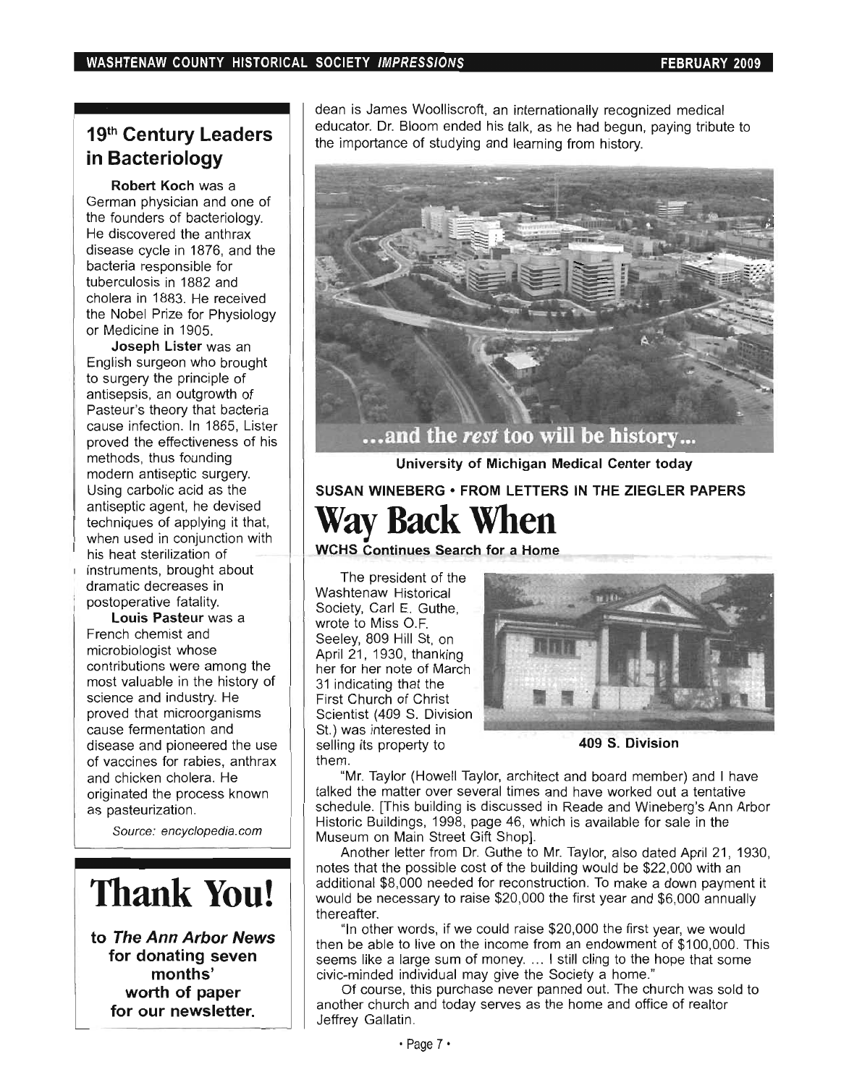# **19th Century Leaders in Bacteriology**

**Robert Koch** was a German physician and one of the founders of bacteriology. He discovered the anthrax disease cycle in 1876, and the bacteria responsible for tuberculosis in 1882 and cholera in 1883. He received the Nobel Prize for Physiology or Medicine in 1905.

**Joseph Lister** was an English surgeon who brought to surgery the principle of antisepsis, an outgrowth of Pasteur's theory that bacteria cause infection. In 1865, Lister proved the effectiveness of his methods, thus founding modern antiseptic surgery. Using carbolic acid as the antiseptic agent, he devised techniques of applying it that, when used in conjunction with his heat sterilization of instruments, brought about dramatic decreases in postoperative fatality.

**Louis Pasteur** was a French chemist and microbiologist whose contributions were among the most valuable in the history of science and industry. He proved that microorganisms cause fermentation and disease and pioneered the use of vaccines for rabies, anthrax and chicken cholera. He originated the process known as pasteurization.

Source: encyclopedia. com

# **Thank You!**

**to The Ann Arbor News for donating seven months' worth of paper for our newsletter.** 

dean is James Woolliscroft, an internationally recognized medical educator. Dr. Bloom ended his talk, as he had begun, paying tribute to the importance of studying and learning from history.



**University of Michigan Medical Center today** 

# **SUSAN WINEBERG • FROM LETTERS IN THE ZIEGLER PAPERS Way Back When**

**WCHS Continues Search for a Home** 

The president of the Washtenaw Historical Society, Carl E. Guthe, wrote to Miss O.F. Seeley, 809 Hill St, on April  $21$ , 1930, thanking her for her note of March 31 indicating that the First Church of Christ Scientist (409 S. Division St.) was interested in selling its property to **409 S. Division**  them.



"Mr. Taylor (Howell Taylor, architect and board member) and I have talked the matter over several times and have worked out a tentative schedule. [This building is discussed in Reade and Wineberg's Ann Arbor Historic Buildings, 1998, page 46, which is available for sale in the Museum on Main Street Gift Shop].

Another letter from Dr. Guthe to Mr. Taylor, also dated April 21, 1930, notes that the possible cost of the building would be \$22,000 with an additional \$8,000 needed for reconstruction. To make a down payment it would be necessary to raise \$20,000 the first year and \$6,000 annually thereafter.

"In other words, if we could raise \$20,000 the first year, we would then be able to live on the income from an endowment of \$100,000. This seems like a large sum of money. ... I still cling to the hope that some civic-minded individual may give the Society a home."

Of course, this purchase never panned out. The church was sold to another church and today serves as the home and office of realtor Jeffrey Gallatin.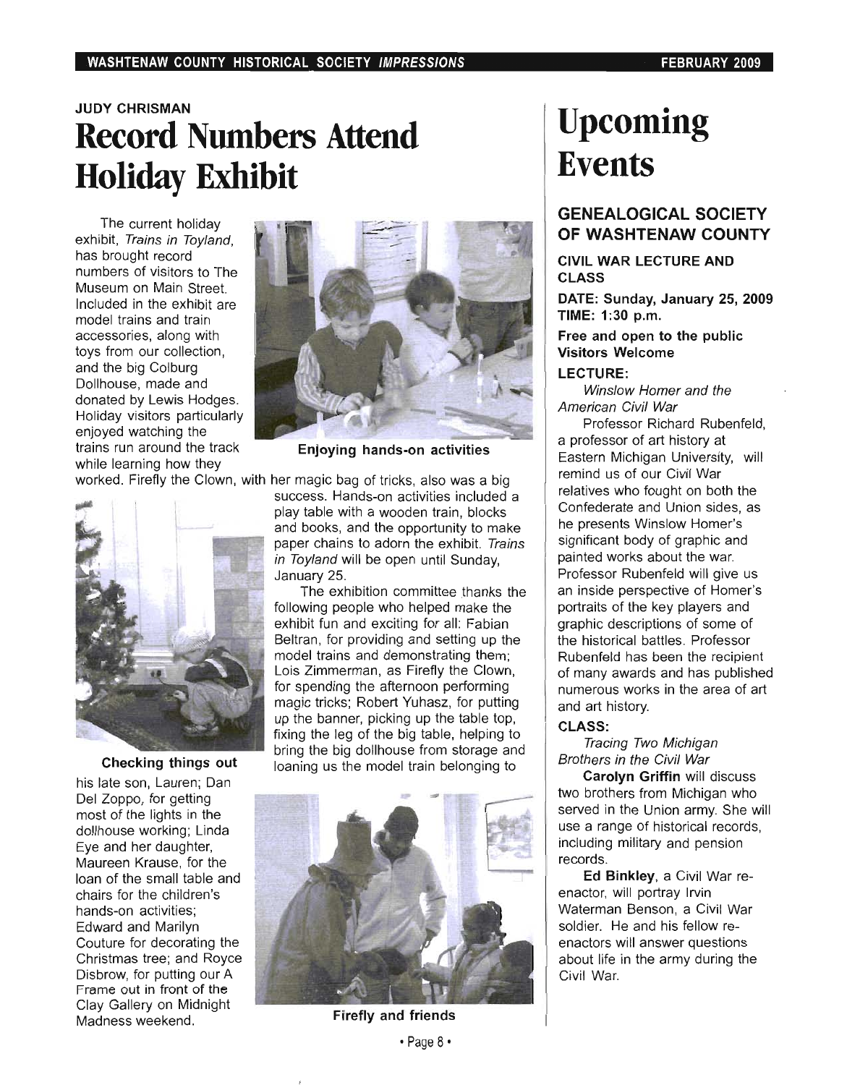# **JUDY CHRISMAN Record Numbers Attend Holiday Exhibit**

The current holiday exhibit, Trains in Toyland, has brought record numbers of visitors to The Museum on Main Street. Included in the exhibit are model trains and train accessories, along with toys from our collection, and the big Colburg Dollhouse, made and donated by Lewis Hodges. Holiday visitors particularly enjoyed watching the trains run around the track while learning how they



**Enjoying hands-on activities** 



**Checking things out** 

his late son, Lauren; Dan Del Zoppo, for getting most of the lights in the dollhouse working; Linda Eye and her daughter, Maureen Krause, for the loan of the small table and chairs for the children's hands-on activities; Edward and Marilyn Couture for decorating the Christmas tree; and Royce Disbrow, for putting our A Frame out in front of the Clay Gallery on Midnight Madness weekend.

worked. Firefly the Clown, with her magic bag of tricks, also was a big success. Hands-on activities included a play table with a wooden train, blocks and books, and the opportunity to make paper chains to adorn the exhibit. Trains in Toyland will be open until Sunday, January 25.

> The exhibition committee thanks the following people who helped make the exhibit fun and exciting for all: Fabian Beltran, for providing and setting up the model trains and demonstrating them; Lois Zimmerman, as Firefly the Clown, for spending the afternoon performing magic tricks; Robert Yuhasz, for putting up the banner, picking up the table top, fixing the leg of the big table, helping to bring the big dollhouse from storage and loaning us the model train belonging to



**Firefly and friends** 

# **Upcoming Events**

### **GENEALOGICAL SOCIETY OF WASHTENAW COUNTY**

### **CIVIL WAR LECTURE AND CLASS**

**DATE: Sunday, January 25, 2009 TIME: 1 :30 p.m.** 

#### **Free and open to the public Visitors Welcome**

#### **LECTURE:**

Winslow Homer and the American Civil War

Professor Richard Rubenfeld, a professor of art history at Eastern Michigan University, will remind us of our Civil War relatives who fought on both the Confederate and Union sides, as he presents Winslow Homer's significant body of graphic and painted works about the war. Professor Rubenfeld will give us an inside perspective of Homer's portraits of the key players and graphic descriptions of some of the historical battles. Professor Rubenfeld has been the recipient of many awards and has published numerous works in the area of art and art history.

### **CLASS:**

#### Tracing Two Michigan Brothers in the Civil War

**Carolyn Griffin** will discuss two brothers from Michigan who served in the Union army. She will use a range of historical records, including military and pension records.

**Ed Binkley,** a Civil War reenactor, will portray Irvin Waterman Benson, a Civil War soldier. He and his fellow reenactors will answer questions about life in the army during the Civil War.